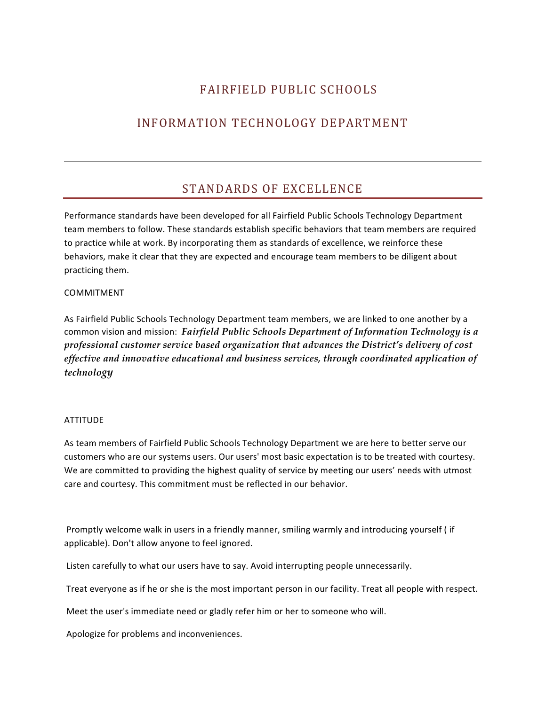## FAIRFIELD PUBLIC SCHOOLS

# INFORMATION TECHNOLOGY DEPARTMENT

## STANDARDS OF EXCELLENCE

Performance standards have been developed for all Fairfield Public Schools Technology Department team members to follow. These standards establish specific behaviors that team members are required to practice while at work. By incorporating them as standards of excellence, we reinforce these behaviors, make it clear that they are expected and encourage team members to be diligent about practicing them.

### COMMITMENT\*

As Fairfield Public Schools Technology Department team members, we are linked to one another by a common vision and mission: Fairfield Public Schools Department of Information Technology is a *professional)customer)service)based)organization)that)advances)the)District's)delivery)of)cost)* effective and innovative educational and business services, through coordinated application of *technology*

#### **ATTITUDE**

As team members of Fairfield Public Schools Technology Department we are here to better serve our customers who are our systems users. Our users' most basic expectation is to be treated with courtesy. We are committed to providing the highest quality of service by meeting our users' needs with utmost care and courtesy. This commitment must be reflected in our behavior.

Promptly welcome walk in users in a friendly manner, smiling warmly and introducing yourself (if applicable). Don't allow anyone to feel ignored.

Listen carefully to what our users have to say. Avoid interrupting people unnecessarily.

Treat everyone as if he or she is the most important person in our facility. Treat all people with respect.

Meet the user's immediate need or gladly refer him or her to someone who will.

Apologize for problems and inconveniences.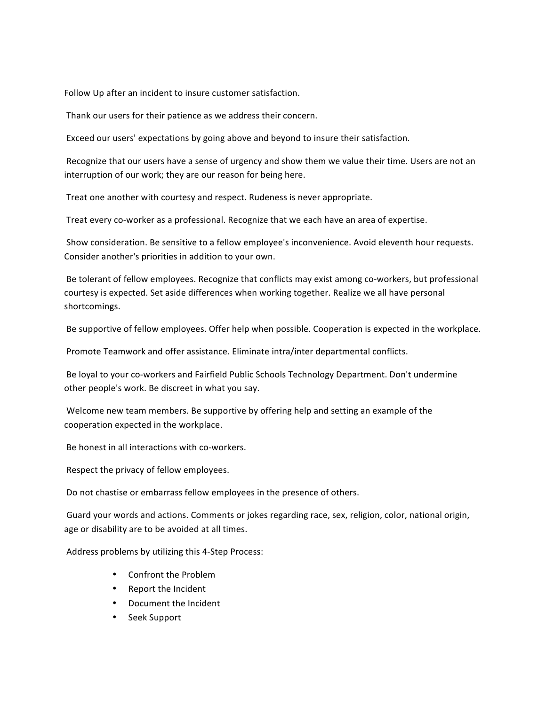Follow Up after an incident to insure customer satisfaction.

Thank our users for their patience as we address their concern.

Exceed our users' expectations by going above and beyond to insure their satisfaction.

Recognize that our users have a sense of urgency and show them we value their time. Users are not an interruption of our work; they are our reason for being here.

Treat one another with courtesy and respect. Rudeness is never appropriate.

Treat every co-worker as a professional. Recognize that we each have an area of expertise.

Show consideration. Be sensitive to a fellow employee's inconvenience. Avoid eleventh hour requests. Consider another's priorities in addition to your own.

Be tolerant of fellow employees. Recognize that conflicts may exist among co-workers, but professional courtesy is expected. Set aside differences when working together. Realize we all have personal shortcomings.

Be supportive of fellow employees. Offer help when possible. Cooperation is expected in the workplace.

Promote Teamwork and offer assistance. Eliminate intra/inter departmental conflicts.

Be loyal to your co-workers and Fairfield Public Schools Technology Department. Don't undermine other people's work. Be discreet in what you say.

Welcome new team members. Be supportive by offering help and setting an example of the cooperation expected in the workplace.

Be honest in all interactions with co-workers.

Respect the privacy of fellow employees.

Do not chastise or embarrass fellow employees in the presence of others.

Guard your words and actions. Comments or jokes regarding race, sex, religion, color, national origin, age or disability are to be avoided at all times.

Address problems by utilizing this 4-Step Process:

- Confront the Problem
- $•$  Report the Incident
- Document the Incident
- Seek Support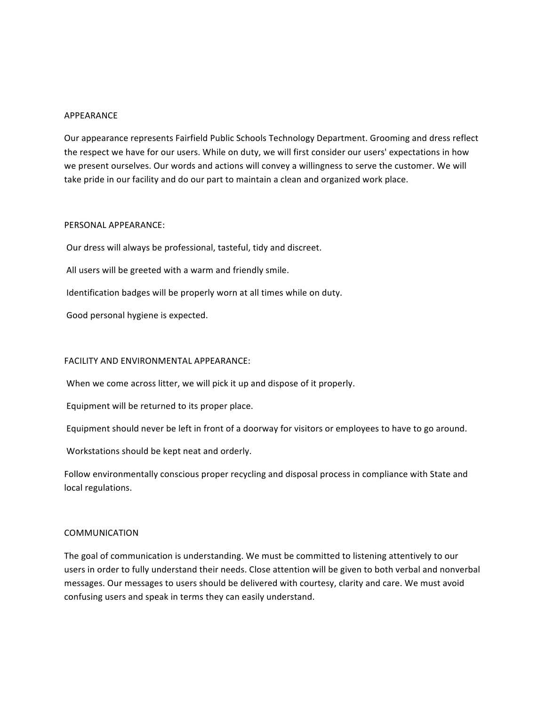#### APPEARANCE

Our appearance represents Fairfield Public Schools Technology Department. Grooming and dress reflect the respect we have for our users. While on duty, we will first consider our users' expectations in how we present ourselves. Our words and actions will convey a willingness to serve the customer. We will take pride in our facility and do our part to maintain a clean and organized work place.

#### PERSONAL APPEARANCE:

Our dress will always be professional, tasteful, tidy and discreet.

All users will be greeted with a warm and friendly smile.

Identification badges will be properly worn at all times while on duty.

Good personal hygiene is expected.

#### FACILITY AND ENVIRONMENTAL APPEARANCE:

When we come across litter, we will pick it up and dispose of it properly.

Equipment will be returned to its proper place.

Equipment should never be left in front of a doorway for visitors or employees to have to go around.

Workstations should be kept neat and orderly.

Follow environmentally conscious proper recycling and disposal process in compliance with State and local regulations.

#### COMMUNICATION

The goal of communication is understanding. We must be committed to listening attentively to our users in order to fully understand their needs. Close attention will be given to both verbal and nonverbal messages. Our messages to users should be delivered with courtesy, clarity and care. We must avoid confusing users and speak in terms they can easily understand.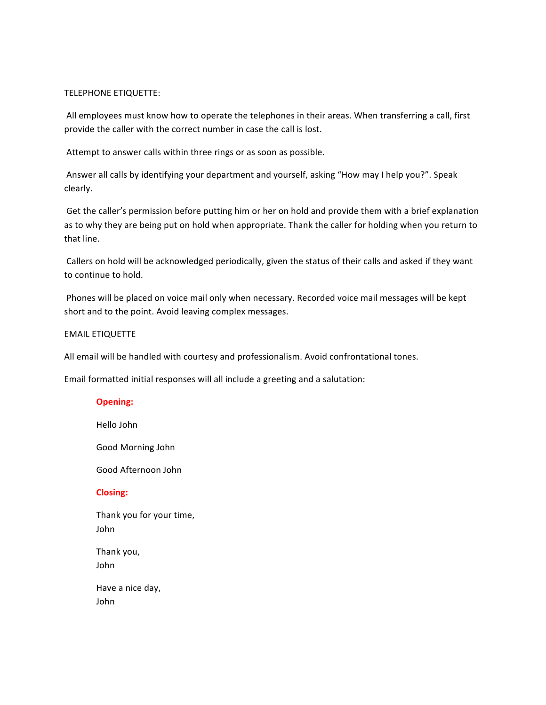#### TELEPHONE ETIQUETTE:

All employees must know how to operate the telephones in their areas. When transferring a call, first provide the caller with the correct number in case the call is lost.

Attempt to answer calls within three rings or as soon as possible.

Answer all calls by identifying your department and yourself, asking "How may I help you?". Speak clearly.

Get the caller's permission before putting him or her on hold and provide them with a brief explanation as to why they are being put on hold when appropriate. Thank the caller for holding when you return to that line.

Callers on hold will be acknowledged periodically, given the status of their calls and asked if they want to continue to hold.

Phones will be placed on voice mail only when necessary. Recorded voice mail messages will be kept short and to the point. Avoid leaving complex messages.

#### **EMAIL ETIQUETTE**

All email will be handled with courtesy and professionalism. Avoid confrontational tones.

Email formatted initial responses will all include a greeting and a salutation:

#### **Opening:**

Hello John

Good Morning John

Good Afternoon John

#### **Closing:**

Thank you for your time, John

Thank you, John

Have a nice day, John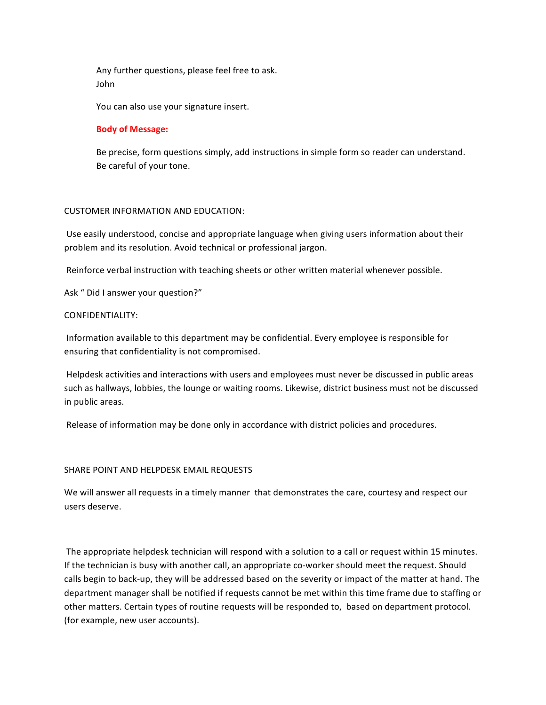Any further questions, please feel free to ask. John

You can also use your signature insert.

#### **Body of Message:**

Be precise, form questions simply, add instructions in simple form so reader can understand. Be careful of your tone.

#### CUSTOMER INFORMATION AND EDUCATION:

Use easily understood, concise and appropriate language when giving users information about their problem and its resolution. Avoid technical or professional jargon.

Reinforce verbal instruction with teaching sheets or other written material whenever possible.

Ask " Did I answer your question?"

#### CONFIDENTIALITY:

Information available to this department may be confidential. Every employee is responsible for ensuring that confidentiality is not compromised.

Helpdesk activities and interactions with users and employees must never be discussed in public areas such as hallways, lobbies, the lounge or waiting rooms. Likewise, district business must not be discussed in public areas.

Release of information may be done only in accordance with district policies and procedures.

#### SHARE POINT AND HELPDESK EMAIL REQUESTS

We will answer all requests in a timely manner that demonstrates the care, courtesy and respect our users deserve.

The appropriate helpdesk technician will respond with a solution to a call or request within 15 minutes. If the technician is busy with another call, an appropriate co-worker should meet the request. Should calls begin to back-up, they will be addressed based on the severity or impact of the matter at hand. The department manager shall be notified if requests cannot be met within this time frame due to staffing or other matters. Certain types of routine requests will be responded to, based on department protocol. (for example, new user accounts).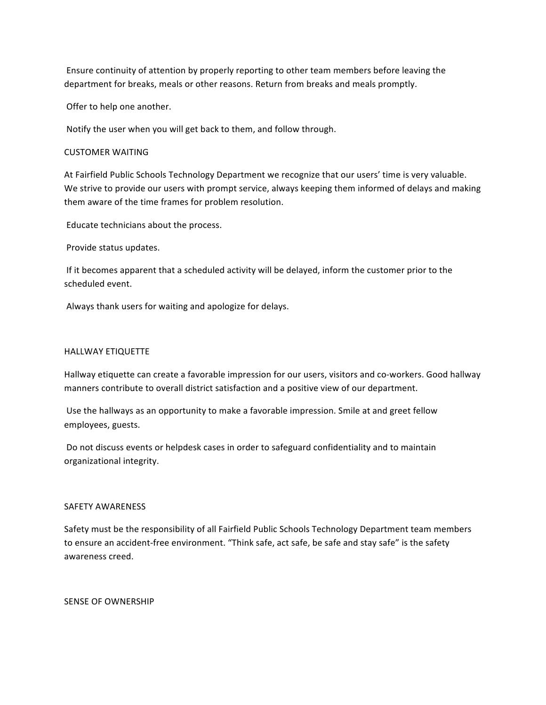Ensure continuity of attention by properly reporting to other team members before leaving the department for breaks, meals or other reasons. Return from breaks and meals promptly.

Offer to help one another.

Notify the user when you will get back to them, and follow through.

### **CUSTOMER WAITING**

At Fairfield Public Schools Technology Department we recognize that our users' time is very valuable. We strive to provide our users with prompt service, always keeping them informed of delays and making them aware of the time frames for problem resolution.

Educate technicians about the process.

Provide status updates.

If it becomes apparent that a scheduled activity will be delayed, inform the customer prior to the scheduled event.

Always thank users for waiting and apologize for delays.

#### HALLWAY ETIQUETTE

Hallway etiquette can create a favorable impression for our users, visitors and co-workers. Good hallway manners contribute to overall district satisfaction and a positive view of our department.

Use the hallways as an opportunity to make a favorable impression. Smile at and greet fellow employees, guests.

Do not discuss events or helpdesk cases in order to safeguard confidentiality and to maintain organizational integrity.

#### SAFFTY AWARENESS

Safety must be the responsibility of all Fairfield Public Schools Technology Department team members to ensure an accident-free environment. "Think safe, act safe, be safe and stay safe" is the safety awareness creed.

SENSE OF OWNERSHIP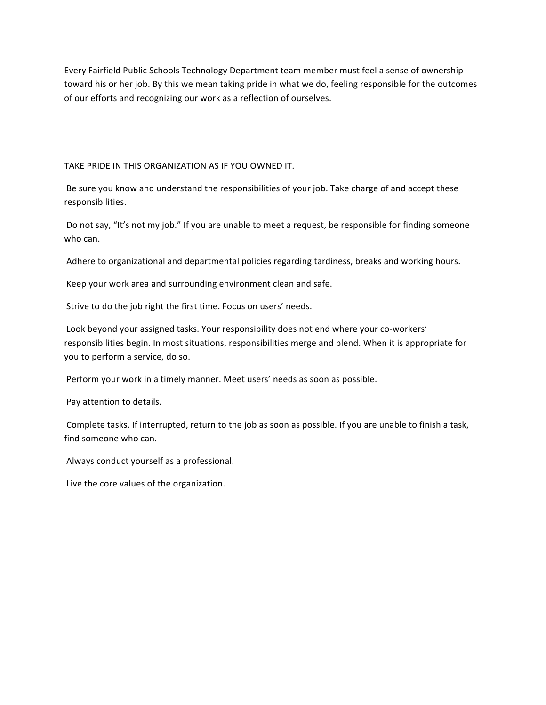Every Fairfield Public Schools Technology Department team member must feel a sense of ownership toward his or her job. By this we mean taking pride in what we do, feeling responsible for the outcomes of our efforts and recognizing our work as a reflection of ourselves.

TAKE PRIDE IN THIS ORGANIZATION AS IF YOU OWNED IT.

Be sure you know and understand the responsibilities of your job. Take charge of and accept these responsibilities.

Do not say, "It's not my job." If you are unable to meet a request, be responsible for finding someone who can.

Adhere to organizational and departmental policies regarding tardiness, breaks and working hours.

Keep your work area and surrounding environment clean and safe.

Strive to do the job right the first time. Focus on users' needs.

Look beyond your assigned tasks. Your responsibility does not end where your co-workers' responsibilities begin. In most situations, responsibilities merge and blend. When it is appropriate for you to perform a service, do so.

Perform your work in a timely manner. Meet users' needs as soon as possible.

Pay attention to details.

Complete tasks. If interrupted, return to the job as soon as possible. If you are unable to finish a task, find someone who can.

Always conduct yourself as a professional.

Live the core values of the organization.